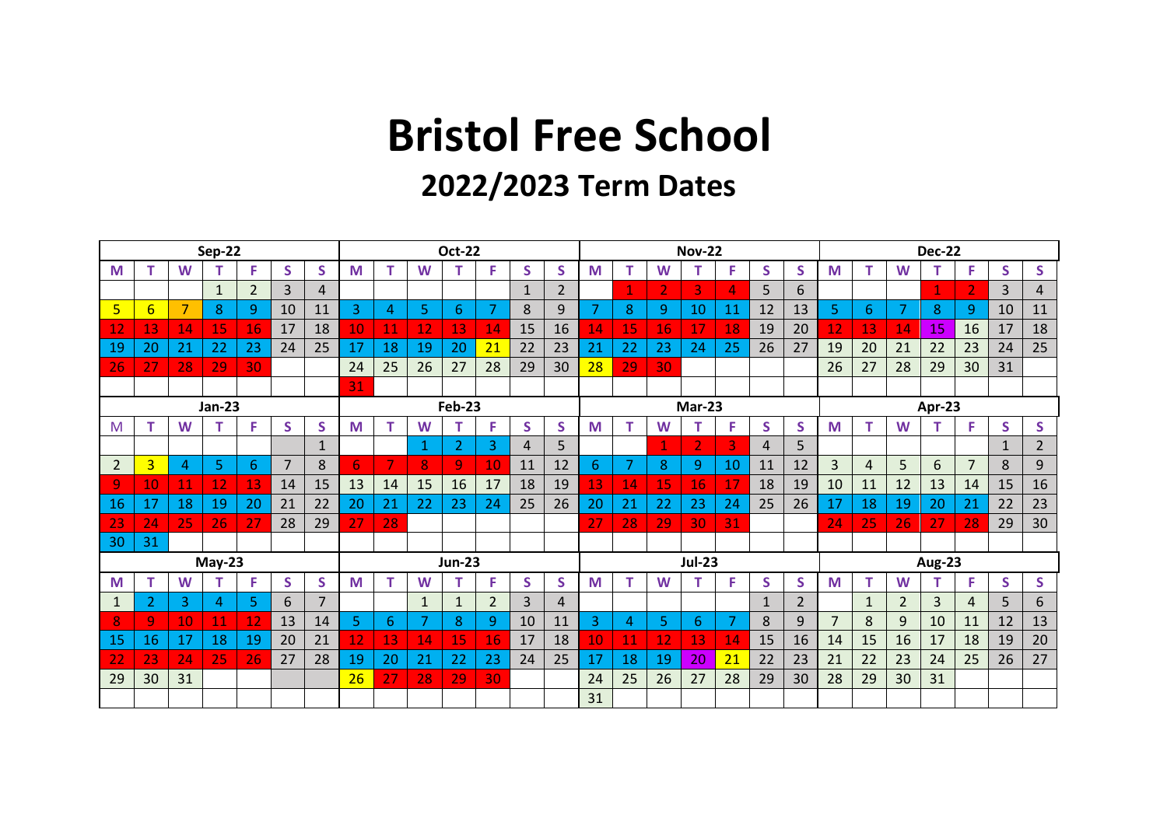## **Bristol Free School**

## **2022/2023 Term Dates**

| <b>Sep-22</b>           |                 |    |              |                |                |                |                 | <b>Oct-22</b> |              |                |                |              |                |               | <b>Nov-22</b> |    |    |                |              |    |                | <b>Dec-22</b> |                |    |                |    |                |  |
|-------------------------|-----------------|----|--------------|----------------|----------------|----------------|-----------------|---------------|--------------|----------------|----------------|--------------|----------------|---------------|---------------|----|----|----------------|--------------|----|----------------|---------------|----------------|----|----------------|----|----------------|--|
| M                       | т               | W  |              | F              | S              | S              | M               |               | W            | т              | F              | S            | S.             | M             | т             | W  |    | F              | S.           | S  | M              | т             | W              | т  | F.             | S  | S.             |  |
|                         |                 |    | $\mathbf{1}$ | $\overline{2}$ | 3              | 4              |                 |               |              |                |                | $\mathbf{1}$ | $\overline{2}$ |               | 1             |    | 3  | 4              | 5.           | 6  |                |               |                | 1  |                | 3  | $\overline{4}$ |  |
| $\overline{\mathbf{5}}$ | $6\overline{6}$ |    | 8            | 9              | 10             | 11             | 3               | 4             | 5            | 6              |                | 8            | 9              |               | 8             | 9  | 10 | 11             | 12           | 13 | 5.             | 6.            | $\overline{7}$ | 8  | 9              | 10 | 11             |  |
| 12                      | 13              | 14 | 15           | 16             | 17             | 18             | 10              | 11            | 12           | 13             | 14             | 15           | 16             | 14            | 15            | 16 | 17 | 18             | 19           | 20 | 12             | 13            | 14             | 15 | 16             | 17 | 18             |  |
| 19                      | 20              | 21 | 22           | 23             | 24             | 25             | 17              | 18            | 19           | 20             | 21             | 22           | 23             | 21            | 22            | 23 | 24 | 25             | 26           | 27 | 19             | 20            | 21             | 22 | 23             | 24 | 25             |  |
| 26                      | 27              | 28 | 29           | 30             |                |                | 24              | 25            | 26           | 27             | 28             | 29           | 30             | 28            | 29            | 30 |    |                |              |    | 26             | 27            | 28             | 29 | 30             | 31 |                |  |
|                         |                 |    |              |                |                |                | 31              |               |              |                |                |              |                |               |               |    |    |                |              |    |                |               |                |    |                |    |                |  |
| <b>Jan-23</b>           |                 |    |              |                |                |                |                 | <b>Feb-23</b> |              |                |                |              |                | <b>Mar-23</b> |               |    |    |                |              |    | Apr-23         |               |                |    |                |    |                |  |
| M                       | т               | W  | т            | F              | S              | S              | M               |               | W            | т              | F              | S            | S.             | M             | т             | W  |    | F              | S.           | S  | M              | т             | W              | т  | F.             | S  | S.             |  |
|                         |                 |    |              |                |                | $\mathbf{1}$   |                 |               | 1            | $\overline{2}$ | 3              | 4            | 5              |               |               |    |    | 3              | 4            | 5  |                |               |                |    |                | 1  | $\overline{2}$ |  |
| 2                       | $\overline{3}$  | 4  | 5            | 6              | $\overline{7}$ | 8              | 6               |               | 8            | 9              | 10             | 11           | 12             | 6             | 7             | 8  | 9  | 10             | 11           | 12 | $\overline{3}$ | 4             | 5              | 6  | $\overline{7}$ | 8  | 9              |  |
| 9                       | 10              | 11 | 12           | 13             | 14             | 15             | 13              | 14            | 15           | 16             | 17             | 18           | 19             | 13            | 14            | 15 | 16 | 17             | 18           | 19 | 10             | 11            | 12             | 13 | 14             | 15 | 16             |  |
| <b>16</b>               | 17              | 18 | 19           | 20             | 21             | 22             | 20              | 21            | 22           | 23             | 24             | 25           | 26             | 20            | 21            | 22 | 23 | 24             | 25           | 26 | 17             | 18            | 19             | 20 | 21             | 22 | 23             |  |
| 23                      | 24              | 25 | 26           | 27             | 28             | 29             | 27              | 28            |              |                |                |              |                | 27            | 28            | 29 | 30 | 31             |              |    | 24             | 25            | 26             | 27 | 28             | 29 | 30             |  |
| 30                      | 31              |    |              |                |                |                |                 |               |              |                |                |              |                |               |               |    |    |                |              |    |                |               |                |    |                |    |                |  |
| $May-23$                |                 |    |              |                |                |                |                 | <b>Jun-23</b> |              |                |                |              |                |               | <b>Jul-23</b> |    |    |                |              |    |                | <b>Aug-23</b> |                |    |                |    |                |  |
| M                       |                 | W  |              | F              | S              | S              | M               |               | W            | т              | F              | S            | S.             | M             | т             | W  | т  | F              | S.           | S  | M              | т             | W              | т  | F.             | S  | S.             |  |
| 1                       | 2               | 3  | 4            | 5.             | 6              | $\overline{7}$ |                 |               | $\mathbf{1}$ | $\mathbf{1}$   | $\overline{2}$ | 3            | 4              |               |               |    |    |                | $\mathbf{1}$ | 2  |                | $\mathbf{1}$  | $\overline{2}$ | 3  | 4              | 5  | 6              |  |
| 8                       | 9               | 10 | 11           | 12             | 13             | 14             | 5               | 6             | 7            | 8              | 9              | 10           | 11             | 3             | 4             | 5. | 6  | $\overline{7}$ | 8            | 9  | $\overline{7}$ | 8             | 9              | 10 | 11             | 12 | 13             |  |
| 15                      | 16              | 17 | 18           | 19             | 20             | 21             | $\overline{12}$ | 13            | 14           | 15             | 16             | 17           | 18             | 10            | 11            | 12 | 13 | 14             | 15           | 16 | 14             | 15            | 16             | 17 | 18             | 19 | 20             |  |
| 22                      | 23              | 24 | 25           | 26             | 27             | 28             | 19              | 20            | 21           | 22             | 23             | 24           | 25             | 17            | 18            | 19 | 20 | 21             | 22           | 23 | 21             | 22            | 23             | 24 | 25             | 26 | 27             |  |
| 29                      | 30              | 31 |              |                |                |                | 26              | 27            | 28           | 29             | 30             |              |                | 24            | 25            | 26 | 27 | 28             | 29           | 30 | 28             | 29            | 30             | 31 |                |    |                |  |
|                         |                 |    |              |                |                |                |                 |               |              |                |                |              |                | 31            |               |    |    |                |              |    |                |               |                |    |                |    |                |  |